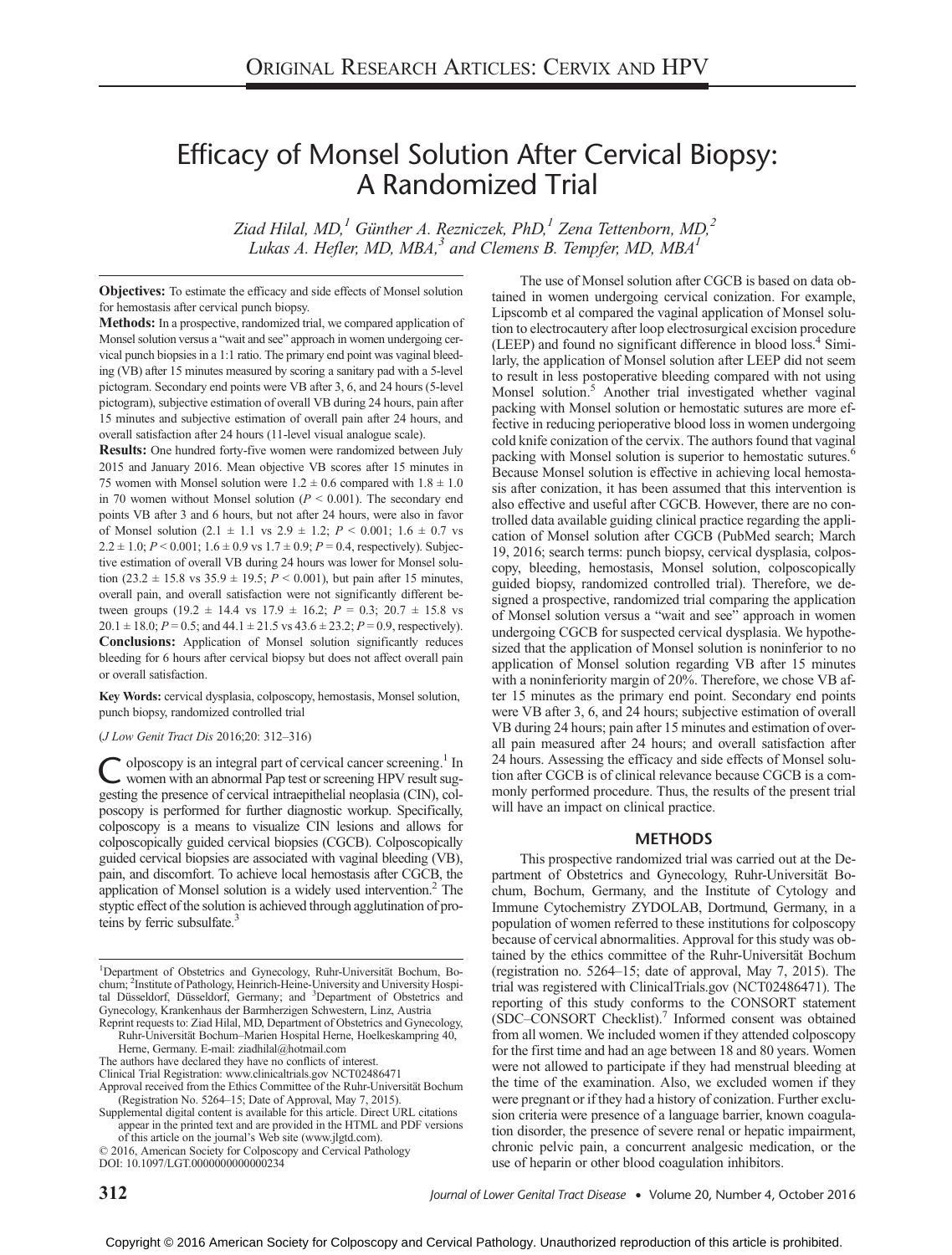# Efficacy of Monsel Solution After Cervical Biopsy: A Randomized Trial

Ziad Hilal, MD,<sup>1</sup> Günther A. Rezniczek, PhD,<sup>1</sup> Zena Tettenborn, MD,<sup>2</sup> Lukas A. Hefler, MD,  $MBA<sup>3</sup>$  and Clemens B. Tempfer, MD,  $MBA<sup>1</sup>$ 

Objectives: To estimate the efficacy and side effects of Monsel solution for hemostasis after cervical punch biopsy.

Methods: In a prospective, randomized trial, we compared application of Monsel solution versus a "wait and see" approach in women undergoing cervical punch biopsies in a 1:1 ratio. The primary end point was vaginal bleeding (VB) after 15 minutes measured by scoring a sanitary pad with a 5-level pictogram. Secondary end points were VB after 3, 6, and 24 hours (5-level pictogram), subjective estimation of overall VB during 24 hours, pain after 15 minutes and subjective estimation of overall pain after 24 hours, and overall satisfaction after 24 hours (11-level visual analogue scale).

Results: One hundred forty-five women were randomized between July 2015 and January 2016. Mean objective VB scores after 15 minutes in 75 women with Monsel solution were  $1.2 \pm 0.6$  compared with  $1.8 \pm 1.0$ in 70 women without Monsel solution  $(P \le 0.001)$ . The secondary end points VB after 3 and 6 hours, but not after 24 hours, were also in favor of Monsel solution  $(2.1 \pm 1.1 \text{ vs } 2.9 \pm 1.2; P < 0.001; 1.6 \pm 0.7 \text{ vs }$  $2.2 \pm 1.0$ ;  $P < 0.001$ ;  $1.6 \pm 0.9$  vs  $1.7 \pm 0.9$ ;  $P = 0.4$ , respectively). Subjective estimation of overall VB during 24 hours was lower for Monsel solution (23.2  $\pm$  15.8 vs 35.9  $\pm$  19.5;  $P < 0.001$ ), but pain after 15 minutes, overall pain, and overall satisfaction were not significantly different between groups (19.2  $\pm$  14.4 vs 17.9  $\pm$  16.2;  $P = 0.3$ ; 20.7  $\pm$  15.8 vs  $20.1 \pm 18.0$ ;  $P = 0.5$ ; and  $44.1 \pm 21.5$  vs  $43.6 \pm 23.2$ ;  $P = 0.9$ , respectively). Conclusions: Application of Monsel solution significantly reduces bleeding for 6 hours after cervical biopsy but does not affect overall pain or overall satisfaction.

Key Words: cervical dysplasia, colposcopy, hemostasis, Monsel solution, punch biopsy, randomized controlled trial

#### (J Low Genit Tract Dis 2016;20: 312–316)

olposcopy is an integral part of cervical cancer screening.<sup>1</sup> In women with an abnormal Pap test or screening HPV result suggesting the presence of cervical intraepithelial neoplasia (CIN), colposcopy is performed for further diagnostic workup. Specifically, colposcopy is a means to visualize CIN lesions and allows for colposcopically guided cervical biopsies (CGCB). Colposcopically guided cervical biopsies are associated with vaginal bleeding (VB), pain, and discomfort. To achieve local hemostasis after CGCB, the application of Monsel solution is a widely used intervention. $<sup>2</sup>$  The</sup> styptic effect of the solution is achieved through agglutination of proteins by ferric subsulfate.<sup>3</sup>

The authors have declared they have no conflicts of interest.

of this article on the journal's Web site [\(www.jlgtd.com\)](http://www.jlgtd.com).

Copyright © 2016 American Society for Colposcopy and Cervical Pathology. Unauthorized reproduction of this article is prohibited.

use of heparin or other blood coagulation inhibitors.

ter 15 minutes as the primary end point. Secondary end points were VB after 3, 6, and 24 hours; subjective estimation of overall VB during 24 hours; pain after 15 minutes and estimation of overall pain measured after 24 hours; and overall satisfaction after 24 hours. Assessing the efficacy and side effects of Monsel solution after CGCB is of clinical relevance because CGCB is a commonly performed procedure. Thus, the results of the present trial will have an impact on clinical practice. METHODS This prospective randomized trial was carried out at the Department of Obstetrics and Gynecology, Ruhr-Universität Bochum, Bochum, Germany, and the Institute of Cytology and Immune Cytochemistry ZYDOLAB, Dortmund, Germany, in a population of women referred to these institutions for colposcopy because of cervical abnormalities. Approval for this study was obtained by the ethics committee of the Ruhr-Universität Bochum (registration no. 5264–15; date of approval, May 7, 2015). The trial was registered with ClinicalTrials.gov (NCT02486471). The reporting of this study conforms to the CONSORT statement (SDC–CONSORT Checklist).7 Informed consent was obtained from all women. We included women if they attended colposcopy for the first time and had an age between 18 and 80 years. Women were not allowed to participate if they had menstrual bleeding at the time of the examination. Also, we excluded women if they

were pregnant or if they had a history of conization. Further exclusion criteria were presence of a language barrier, known coagulation disorder, the presence of severe renal or hepatic impairment, chronic pelvic pain, a concurrent analgesic medication, or the

The use of Monsel solution after CGCB is based on data obtained in women undergoing cervical conization. For example, Lipscomb et al compared the vaginal application of Monsel solution to electrocautery after loop electrosurgical excision procedure (LEEP) and found no significant difference in blood loss.<sup>4</sup> Similarly, the application of Monsel solution after LEEP did not seem to result in less postoperative bleeding compared with not using Monsel solution.<sup>5</sup> Another trial investigated whether vaginal packing with Monsel solution or hemostatic sutures are more effective in reducing perioperative blood loss in women undergoing cold knife conization of the cervix. The authors found that vaginal packing with Monsel solution is superior to hemostatic sutures.<sup>6</sup> Because Monsel solution is effective in achieving local hemostasis after conization, it has been assumed that this intervention is also effective and useful after CGCB. However, there are no controlled data available guiding clinical practice regarding the application of Monsel solution after CGCB (PubMed search; March 19, 2016; search terms: punch biopsy, cervical dysplasia, colposcopy, bleeding, hemostasis, Monsel solution, colposcopically guided biopsy, randomized controlled trial). Therefore, we designed a prospective, randomized trial comparing the application of Monsel solution versus a "wait and see" approach in women undergoing CGCB for suspected cervical dysplasia. We hypothesized that the application of Monsel solution is noninferior to no application of Monsel solution regarding VB after 15 minutes with a noninferiority margin of 20%. Therefore, we chose VB af-

<sup>&</sup>lt;sup>1</sup>Department of Obstetrics and Gynecology, Ruhr-Universität Bochum, Bo-chum; <sup>2</sup>Institute of Pathology, Heinrich-Heine-University and University Hospital Düsseldorf, Düsseldorf, Germany; and <sup>3</sup>Department of Obstetrics and Gynecology, Krankenhaus der Barmherzigen Schwestern, Linz, Austria Reprint requests to: Ziad Hilal, MD, Department of Obstetrics and Gynecology,

Ruhr-Universität Bochum–Marien Hospital Herne, Hoelkeskampring 40, Herne, Germany. E-mail: [ziadhilal@hotmail.com](mailto:ziadhilal@hotmail.com)

Clinical Trial Registration: [www.clinicaltrials.gov](http://www.clinicaltrials.gov) NCT02486471

Approval received from the Ethics Committee of the Ruhr-Universität Bochum (Registration No. 5264–15; Date of Approval, May 7, 2015).

Supplemental digital content is available for this article. Direct URL citations appear in the printed text and are provided in the HTML and PDF versions

<sup>© 2016,</sup> American Society for Colposcopy and Cervical Pathology DOI: 10.1097/LGT.0000000000000234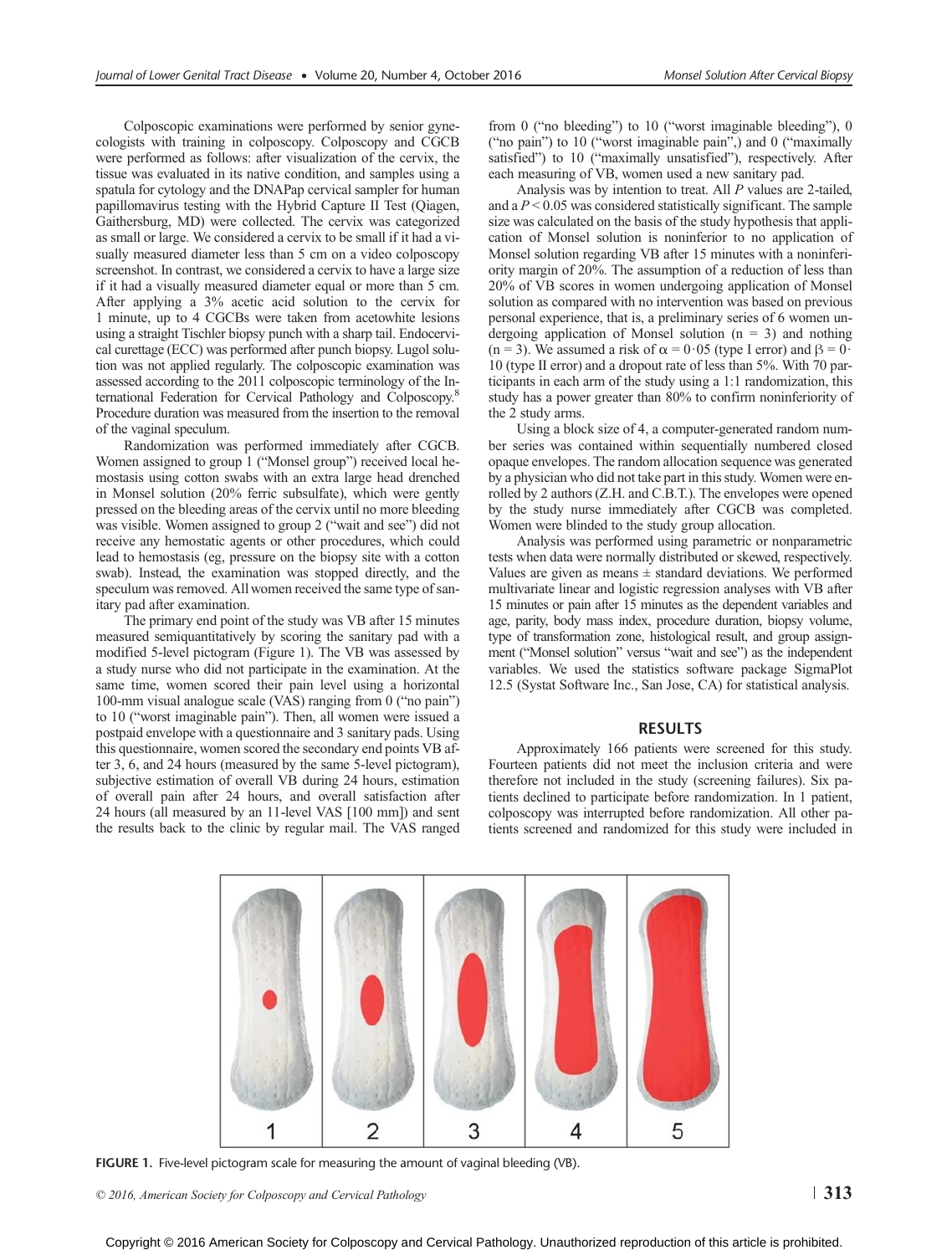Colposcopic examinations were performed by senior gynecologists with training in colposcopy. Colposcopy and CGCB were performed as follows: after visualization of the cervix, the tissue was evaluated in its native condition, and samples using a spatula for cytology and the DNAPap cervical sampler for human papillomavirus testing with the Hybrid Capture II Test (Qiagen, Gaithersburg, MD) were collected. The cervix was categorized as small or large. We considered a cervix to be small if it had a visually measured diameter less than 5 cm on a video colposcopy screenshot. In contrast, we considered a cervix to have a large size if it had a visually measured diameter equal or more than 5 cm. After applying a 3% acetic acid solution to the cervix for 1 minute, up to 4 CGCBs were taken from acetowhite lesions using a straight Tischler biopsy punch with a sharp tail. Endocervical curettage (ECC) was performed after punch biopsy. Lugol solution was not applied regularly. The colposcopic examination was assessed according to the 2011 colposcopic terminology of the International Federation for Cervical Pathology and Colposcopy.<sup>8</sup> Procedure duration was measured from the insertion to the removal of the vaginal speculum.

Randomization was performed immediately after CGCB. Women assigned to group 1 ("Monsel group") received local hemostasis using cotton swabs with an extra large head drenched in Monsel solution (20% ferric subsulfate), which were gently pressed on the bleeding areas of the cervix until no more bleeding was visible. Women assigned to group 2 ("wait and see") did not receive any hemostatic agents or other procedures, which could lead to hemostasis (eg, pressure on the biopsy site with a cotton swab). Instead, the examination was stopped directly, and the speculum was removed. All women received the same type of sanitary pad after examination.

The primary end point of the study was VB after 15 minutes measured semiquantitatively by scoring the sanitary pad with a modified 5-level pictogram (Figure 1). The VB was assessed by a study nurse who did not participate in the examination. At the same time, women scored their pain level using a horizontal 100-mm visual analogue scale (VAS) ranging from 0 ("no pain") to 10 ("worst imaginable pain"). Then, all women were issued a postpaid envelope with a questionnaire and 3 sanitary pads. Using this questionnaire, women scored the secondary end points VB after 3, 6, and 24 hours (measured by the same 5-level pictogram), subjective estimation of overall VB during 24 hours, estimation of overall pain after 24 hours, and overall satisfaction after 24 hours (all measured by an 11-level VAS [100 mm]) and sent the results back to the clinic by regular mail. The VAS ranged from 0 ("no bleeding") to 10 ("worst imaginable bleeding"), 0 ("no pain") to 10 ("worst imaginable pain",) and 0 ("maximally satisfied") to 10 ("maximally unsatisfied"), respectively. After each measuring of VB, women used a new sanitary pad.

Analysis was by intention to treat. All P values are 2-tailed, and a  $P < 0.05$  was considered statistically significant. The sample size was calculated on the basis of the study hypothesis that application of Monsel solution is noninferior to no application of Monsel solution regarding VB after 15 minutes with a noninferiority margin of 20%. The assumption of a reduction of less than 20% of VB scores in women undergoing application of Monsel solution as compared with no intervention was based on previous personal experience, that is, a preliminary series of 6 women undergoing application of Monsel solution  $(n = 3)$  and nothing (n = 3). We assumed a risk of  $\alpha$  = 0·05 (type I error) and  $\beta$  = 0· 10 (type II error) and a dropout rate of less than 5%. With 70 participants in each arm of the study using a 1:1 randomization, this study has a power greater than 80% to confirm noninferiority of the 2 study arms.

Using a block size of 4, a computer-generated random number series was contained within sequentially numbered closed opaque envelopes. The random allocation sequence was generated by a physician who did not take part in this study. Women were enrolled by 2 authors (Z.H. and C.B.T.). The envelopes were opened by the study nurse immediately after CGCB was completed. Women were blinded to the study group allocation.

Analysis was performed using parametric or nonparametric tests when data were normally distributed or skewed, respectively. Values are given as means  $\pm$  standard deviations. We performed multivariate linear and logistic regression analyses with VB after 15 minutes or pain after 15 minutes as the dependent variables and age, parity, body mass index, procedure duration, biopsy volume, type of transformation zone, histological result, and group assignment ("Monsel solution" versus "wait and see") as the independent variables. We used the statistics software package SigmaPlot 12.5 (Systat Software Inc., San Jose, CA) for statistical analysis.

### RESULTS

Approximately 166 patients were screened for this study. Fourteen patients did not meet the inclusion criteria and were therefore not included in the study (screening failures). Six patients declined to participate before randomization. In 1 patient, colposcopy was interrupted before randomization. All other patients screened and randomized for this study were included in



FIGURE 1. Five-level pictogram scale for measuring the amount of vaginal bleeding (VB).

© 2016, American Society for Colposcopy and Cervical Pathology  $\vert$  313

Copyright © 2016 American Society for Colposcopy and Cervical Pathology. Unauthorized reproduction of this article is prohibited.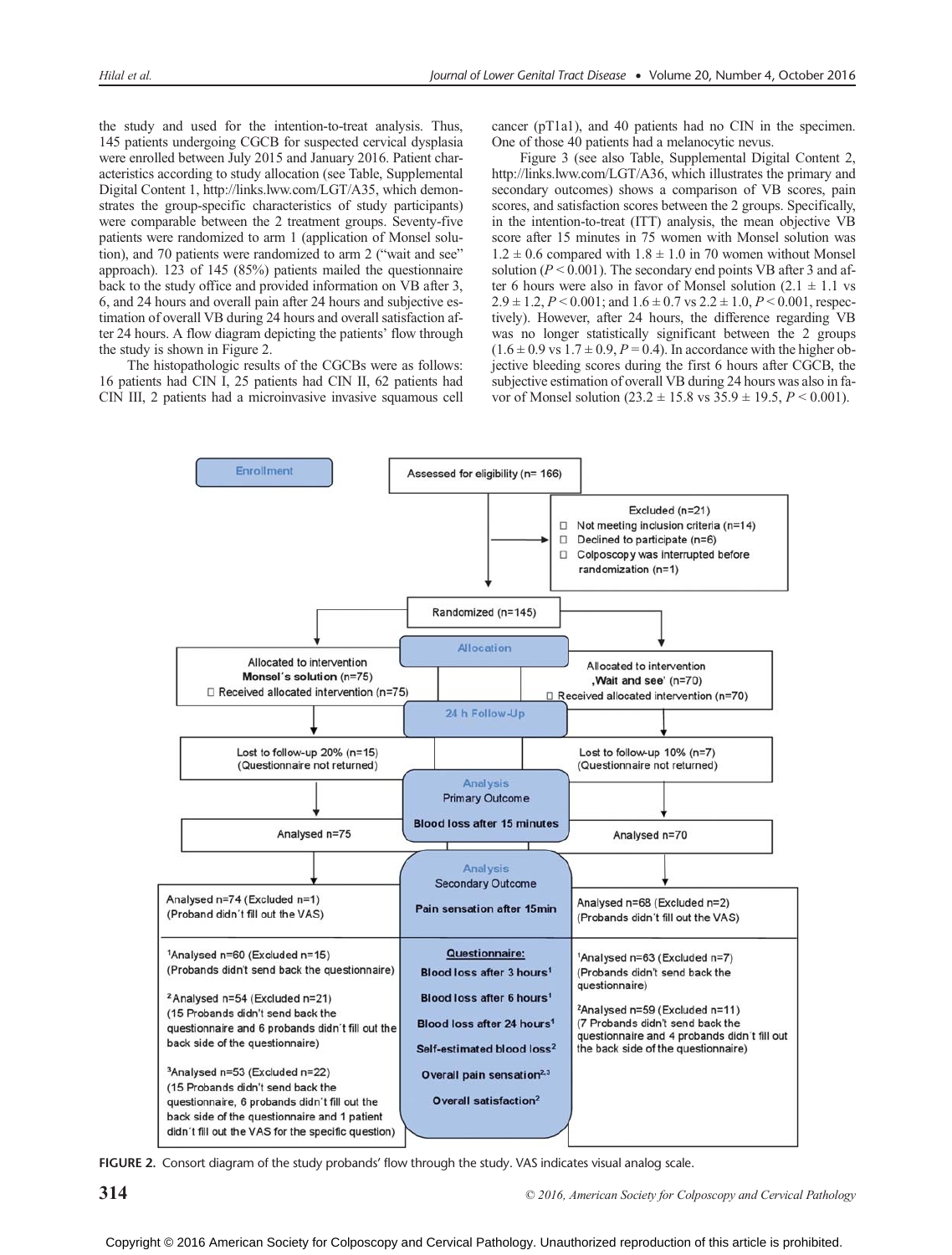the study and used for the intention-to-treat analysis. Thus, 145 patients undergoing CGCB for suspected cervical dysplasia were enrolled between July 2015 and January 2016. Patient characteristics according to study allocation (see Table, Supplemental Digital Content 1,<http://links.lww.com/LGT/A35>, which demonstrates the group-specific characteristics of study participants) were comparable between the 2 treatment groups. Seventy-five patients were randomized to arm 1 (application of Monsel solution), and 70 patients were randomized to arm 2 ("wait and see" approach). 123 of 145 (85%) patients mailed the questionnaire back to the study office and provided information on VB after 3, 6, and 24 hours and overall pain after 24 hours and subjective estimation of overall VB during 24 hours and overall satisfaction after 24 hours. A flow diagram depicting the patients' flow through the study is shown in Figure 2.

The histopathologic results of the CGCBs were as follows: 16 patients had CIN I, 25 patients had CIN II, 62 patients had CIN III, 2 patients had a microinvasive invasive squamous cell cancer (pT1a1), and 40 patients had no CIN in the specimen. One of those 40 patients had a melanocytic nevus.

Figure 3 (see also Table, Supplemental Digital Content 2, [http://links.lww.com/LGT/A36,](http://links.lww.com/LGT/A36) which illustrates the primary and secondary outcomes) shows a comparison of VB scores, pain scores, and satisfaction scores between the 2 groups. Specifically, in the intention-to-treat (ITT) analysis, the mean objective VB score after 15 minutes in 75 women with Monsel solution was  $1.2 \pm 0.6$  compared with  $1.8 \pm 1.0$  in 70 women without Monsel solution ( $P < 0.001$ ). The secondary end points VB after 3 and after 6 hours were also in favor of Monsel solution  $(2.1 \pm 1.1 \text{ vs }$  $2.9 \pm 1.2$ ,  $P < 0.001$ ; and  $1.6 \pm 0.7$  vs  $2.2 \pm 1.0$ ,  $P < 0.001$ , respectively). However, after 24 hours, the difference regarding VB was no longer statistically significant between the 2 groups  $(1.6 \pm 0.9 \text{ vs } 1.7 \pm 0.9, P = 0.4)$ . In accordance with the higher objective bleeding scores during the first 6 hours after CGCB, the subjective estimation of overall VB during 24 hours was also in favor of Monsel solution  $(23.2 \pm 15.8 \text{ vs } 35.9 \pm 19.5, P \le 0.001)$ .



FIGURE 2. Consort diagram of the study probands' flow through the study. VAS indicates visual analog scale.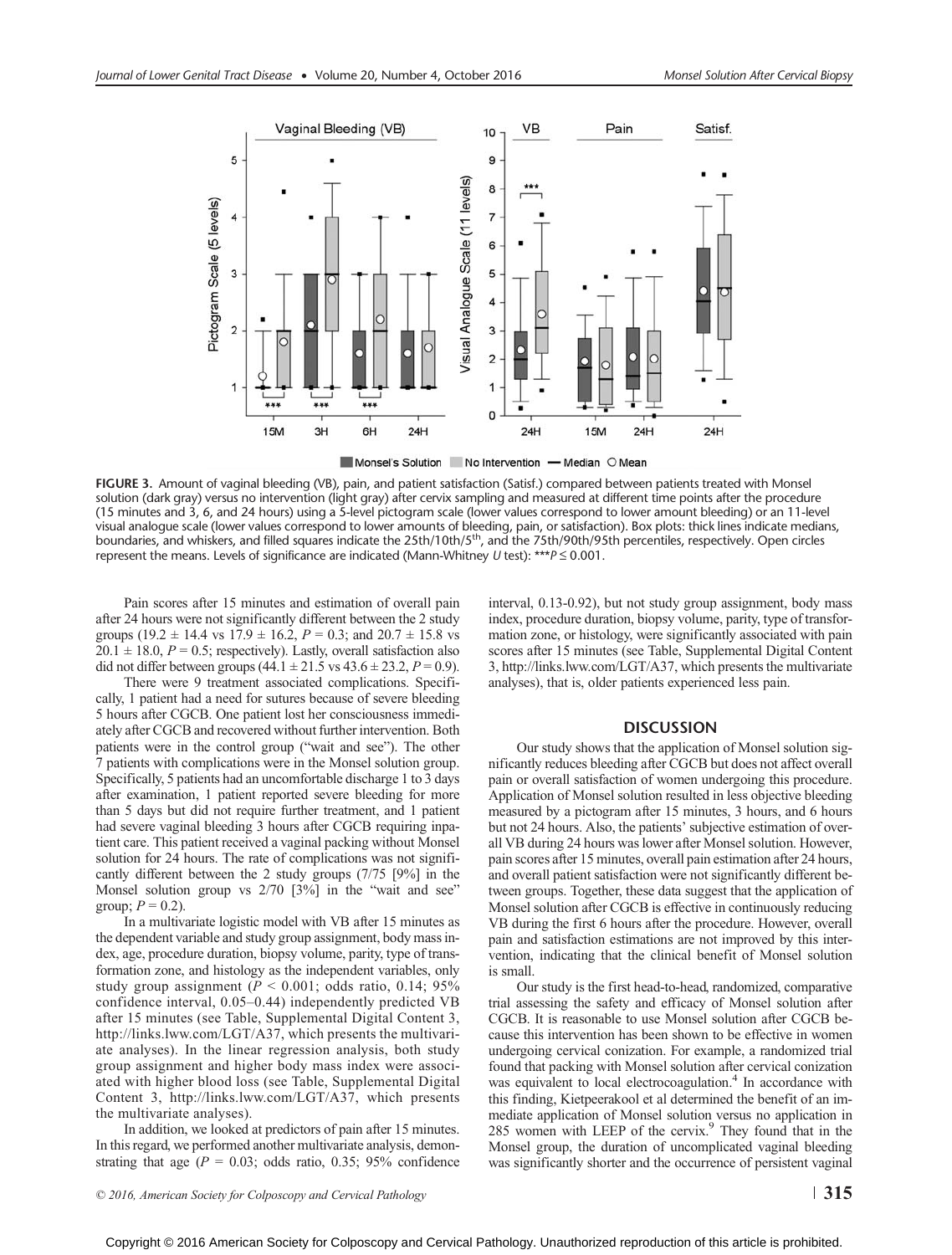

FIGURE 3. Amount of vaginal bleeding (VB), pain, and patient satisfaction (Satisf.) compared between patients treated with Monsel solution (dark gray) versus no intervention (light gray) after cervix sampling and measured at different time points after the procedure (15 minutes and 3, 6, and 24 hours) using a 5-level pictogram scale (lower values correspond to lower amount bleeding) or an 11-level visual analogue scale (lower values correspond to lower amounts of bleeding, pain, or satisfaction). Box plots: thick lines indicate medians, boundaries, and whiskers, and filled squares indicate the 25th/10th/5th, and the 75th/90th/95th percentiles, respectively. Open circles represent the means. Levels of significance are indicated (Mann-Whitney U test): \*\*\* $P \le 0.001$ .

Pain scores after 15 minutes and estimation of overall pain after 24 hours were not significantly different between the 2 study groups (19.2  $\pm$  14.4 vs 17.9  $\pm$  16.2,  $P = 0.3$ ; and 20.7  $\pm$  15.8 vs  $20.1 \pm 18.0$ ,  $P = 0.5$ ; respectively). Lastly, overall satisfaction also did not differ between groups  $(44.1 \pm 21.5 \text{ vs } 43.6 \pm 23.2, P = 0.9)$ .

There were 9 treatment associated complications. Specifically, 1 patient had a need for sutures because of severe bleeding 5 hours after CGCB. One patient lost her consciousness immediately after CGCB and recovered without further intervention. Both patients were in the control group ("wait and see"). The other 7 patients with complications were in the Monsel solution group. Specifically, 5 patients had an uncomfortable discharge 1 to 3 days after examination, 1 patient reported severe bleeding for more than 5 days but did not require further treatment, and 1 patient had severe vaginal bleeding 3 hours after CGCB requiring inpatient care. This patient received a vaginal packing without Monsel solution for 24 hours. The rate of complications was not significantly different between the 2 study groups (7/75 [9%] in the Monsel solution group vs  $2/70$  [3%] in the "wait and see" group;  $P = 0.2$ ).

In a multivariate logistic model with VB after 15 minutes as the dependent variable and study group assignment, body mass index, age, procedure duration, biopsy volume, parity, type of transformation zone, and histology as the independent variables, only study group assignment ( $P < 0.001$ ; odds ratio, 0.14; 95% confidence interval, 0.05–0.44) independently predicted VB after 15 minutes (see Table, Supplemental Digital Content 3, <http://links.lww.com/LGT/A37>, which presents the multivariate analyses). In the linear regression analysis, both study group assignment and higher body mass index were associated with higher blood loss (see Table, Supplemental Digital Content 3, [http://links.lww.com/LGT/A37,](http://links.lww.com/LGT/A37) which presents the multivariate analyses).

In addition, we looked at predictors of pain after 15 minutes. In this regard, we performed another multivariate analysis, demonstrating that age ( $P = 0.03$ ; odds ratio, 0.35; 95% confidence interval, 0.13-0.92), but not study group assignment, body mass index, procedure duration, biopsy volume, parity, type of transformation zone, or histology, were significantly associated with pain scores after 15 minutes (see Table, Supplemental Digital Content 3, [http://links.lww.com/LGT/A37,](http://links.lww.com/LGT/A37) which presents the multivariate analyses), that is, older patients experienced less pain.

## **DISCUSSION**

Our study shows that the application of Monsel solution significantly reduces bleeding after CGCB but does not affect overall pain or overall satisfaction of women undergoing this procedure. Application of Monsel solution resulted in less objective bleeding measured by a pictogram after 15 minutes, 3 hours, and 6 hours but not 24 hours. Also, the patients' subjective estimation of overall VB during 24 hours was lower after Monsel solution. However, pain scores after 15 minutes, overall pain estimation after 24 hours, and overall patient satisfaction were not significantly different between groups. Together, these data suggest that the application of Monsel solution after CGCB is effective in continuously reducing VB during the first 6 hours after the procedure. However, overall pain and satisfaction estimations are not improved by this intervention, indicating that the clinical benefit of Monsel solution is small.

Our study is the first head-to-head, randomized, comparative trial assessing the safety and efficacy of Monsel solution after CGCB. It is reasonable to use Monsel solution after CGCB because this intervention has been shown to be effective in women undergoing cervical conization. For example, a randomized trial found that packing with Monsel solution after cervical conization was equivalent to local electrocoagulation.<sup>4</sup> In accordance with this finding, Kietpeerakool et al determined the benefit of an immediate application of Monsel solution versus no application in 285 women with LEEP of the cervix.<sup>9</sup> They found that in the Monsel group, the duration of uncomplicated vaginal bleeding was significantly shorter and the occurrence of persistent vaginal